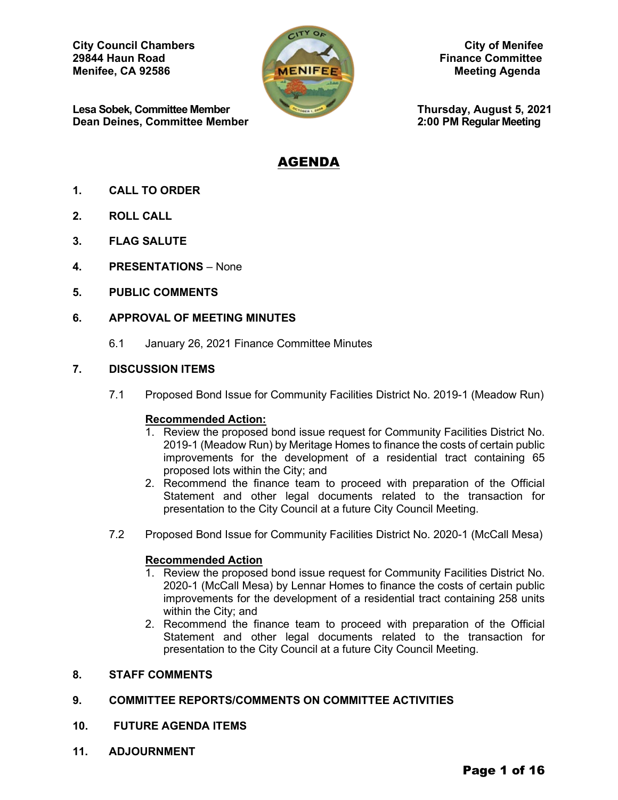**City Council Chambers** City of Menifee<br>
29844 Haun Road Finance Committee **Menifee, CA 92586 Meeting Agenda** Meeting Agenda

**Lesa Sobek, Committee Member Thursday, August 5, 2021**<br> **Dean Deines, Committee Member 2:00 PM Regular Meeting Dean Deines, Committee Member** 



**Finance Committee** 

# AGENDA

- **1. CALL TO ORDER**
- **2. ROLL CALL**
- **3. FLAG SALUTE**
- **4. PRESENTATIONS** None
- **5. PUBLIC COMMENTS**

## **6. APPROVAL OF MEETING MINUTES**

6.1 January 26, 2021 Finance Committee Minutes

## **7. DISCUSSION ITEMS**

7.1 Proposed Bond Issue for Community Facilities District No. 2019-1 (Meadow Run)

## **Recommended Action:**

- 1. Review the proposed bond issue request for Community Facilities District No. 2019-1 (Meadow Run) by Meritage Homes to finance the costs of certain public improvements for the development of a residential tract containing 65 proposed lots within the City; and
- 2. Recommend the finance team to proceed with preparation of the Official Statement and other legal documents related to the transaction for presentation to the City Council at a future City Council Meeting.
- 7.2 Proposed Bond Issue for Community Facilities District No. 2020-1 (McCall Mesa)

## **Recommended Action**

- 1. Review the proposed bond issue request for Community Facilities District No. 2020-1 (McCall Mesa) by Lennar Homes to finance the costs of certain public improvements for the development of a residential tract containing 258 units within the City; and
- 2. Recommend the finance team to proceed with preparation of the Official Statement and other legal documents related to the transaction for presentation to the City Council at a future City Council Meeting.

## **8. STAFF COMMENTS**

## **9. COMMITTEE REPORTS/COMMENTS ON COMMITTEE ACTIVITIES**

- **10. FUTURE AGENDA ITEMS**
- **11. ADJOURNMENT**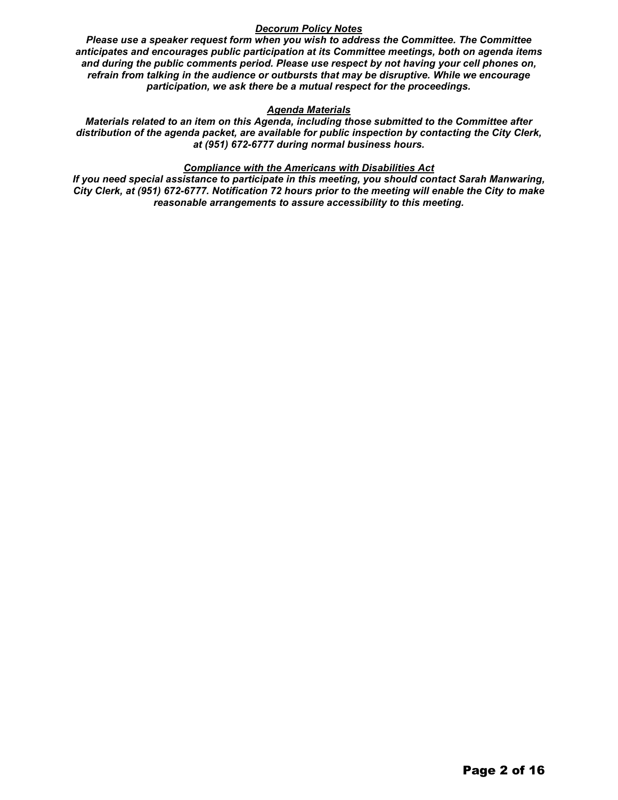## *Decorum Policy Notes*

*Please use a speaker request form when you wish to address the Committee. The Committee anticipates and encourages public participation at its Committee meetings, both on agenda items and during the public comments period. Please use respect by not having your cell phones on, refrain from talking in the audience or outbursts that may be disruptive. While we encourage participation, we ask there be a mutual respect for the proceedings.*

## *Agenda Materials*

*Materials related to an item on this Agenda, including those submitted to the Committee after distribution of the agenda packet, are available for public inspection by contacting the City Clerk, at (951) 672-6777 during normal business hours.* 

## *Compliance with the Americans with Disabilities Act*

*If you need special assistance to participate in this meeting, you should contact Sarah Manwaring, City Clerk, at (951) 672-6777. Notification 72 hours prior to the meeting will enable the City to make reasonable arrangements to assure accessibility to this meeting.*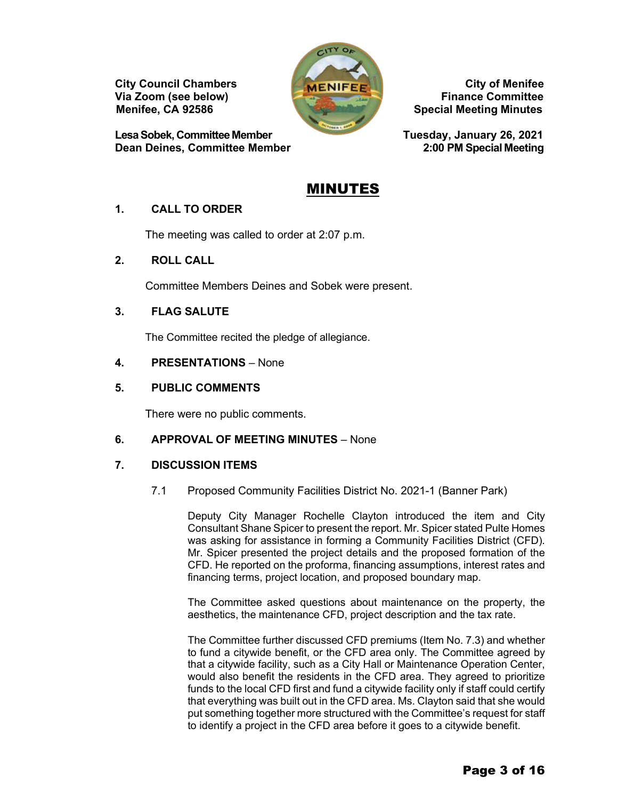**Via Zoom (see below)** 

**LesaSobek, CommitteeMember Tuesday, January 26, 2021 Dean Deines, Committee Member** 



**City Council Chambers** City of Menifee<br>
Via Zoom (see below) **City City Committee Menifee, CA 92586 Special Meeting Minutes** 

# MINUTES

# **1. CALL TO ORDER**

The meeting was called to order at 2:07 p.m.

# **2. ROLL CALL**

Committee Members Deines and Sobek were present.

# **3. FLAG SALUTE**

The Committee recited the pledge of allegiance.

# **4. PRESENTATIONS** – None

# **5. PUBLIC COMMENTS**

There were no public comments.

# **6. APPROVAL OF MEETING MINUTES** – None

# **7. DISCUSSION ITEMS**

7.1 Proposed Community Facilities District No. 2021-1 (Banner Park)

Deputy City Manager Rochelle Clayton introduced the item and City Consultant Shane Spicer to present the report. Mr. Spicer stated Pulte Homes was asking for assistance in forming a Community Facilities District (CFD). Mr. Spicer presented the project details and the proposed formation of the CFD. He reported on the proforma, financing assumptions, interest rates and financing terms, project location, and proposed boundary map.

The Committee asked questions about maintenance on the property, the aesthetics, the maintenance CFD, project description and the tax rate.

The Committee further discussed CFD premiums (Item No. 7.3) and whether to fund a citywide benefit, or the CFD area only. The Committee agreed by that a citywide facility, such as a City Hall or Maintenance Operation Center, would also benefit the residents in the CFD area. They agreed to prioritize funds to the local CFD first and fund a citywide facility only if staff could certify that everything was built out in the CFD area. Ms. Clayton said that she would put something together more structured with the Committee's request for staff to identify a project in the CFD area before it goes to a citywide benefit.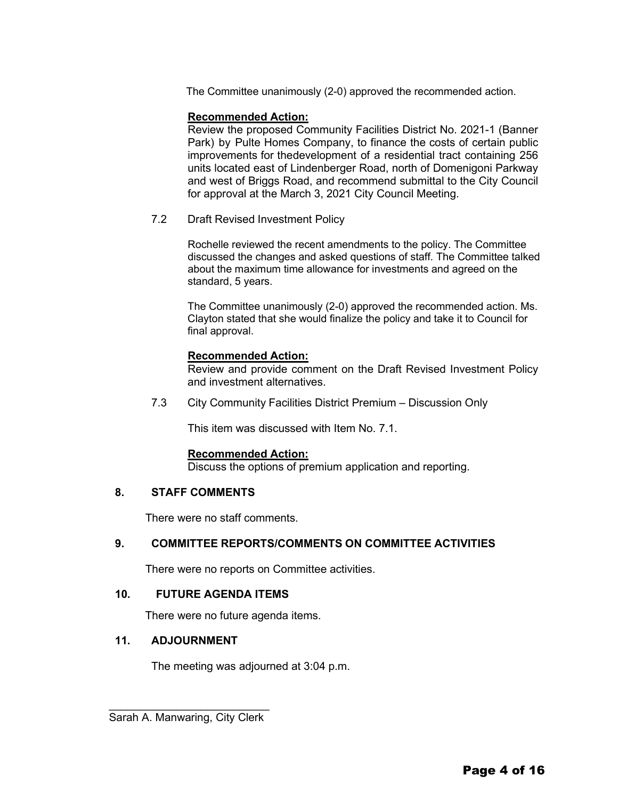The Committee unanimously (2-0) approved the recommended action.

## **Recommended Action:**

Review the proposed Community Facilities District No. 2021-1 (Banner Park) by Pulte Homes Company, to finance the costs of certain public improvements for thedevelopment of a residential tract containing 256 units located east of Lindenberger Road, north of Domenigoni Parkway and west of Briggs Road, and recommend submittal to the City Council for approval at the March 3, 2021 City Council Meeting.

7.2 Draft Revised Investment Policy

Rochelle reviewed the recent amendments to the policy. The Committee discussed the changes and asked questions of staff. The Committee talked about the maximum time allowance for investments and agreed on the standard, 5 years.

The Committee unanimously (2-0) approved the recommended action. Ms. Clayton stated that she would finalize the policy and take it to Council for final approval.

## **Recommended Action:**

Review and provide comment on the Draft Revised Investment Policy and investment alternatives.

7.3 City Community Facilities District Premium – Discussion Only

This item was discussed with Item No. 7.1.

## **Recommended Action:**

Discuss the options of premium application and reporting.

# **8. STAFF COMMENTS**

There were no staff comments.

# **9. COMMITTEE REPORTS/COMMENTS ON COMMITTEE ACTIVITIES**

There were no reports on Committee activities.

## **10. FUTURE AGENDA ITEMS**

There were no future agenda items.

# **11. ADJOURNMENT**

The meeting was adjourned at 3:04 p.m.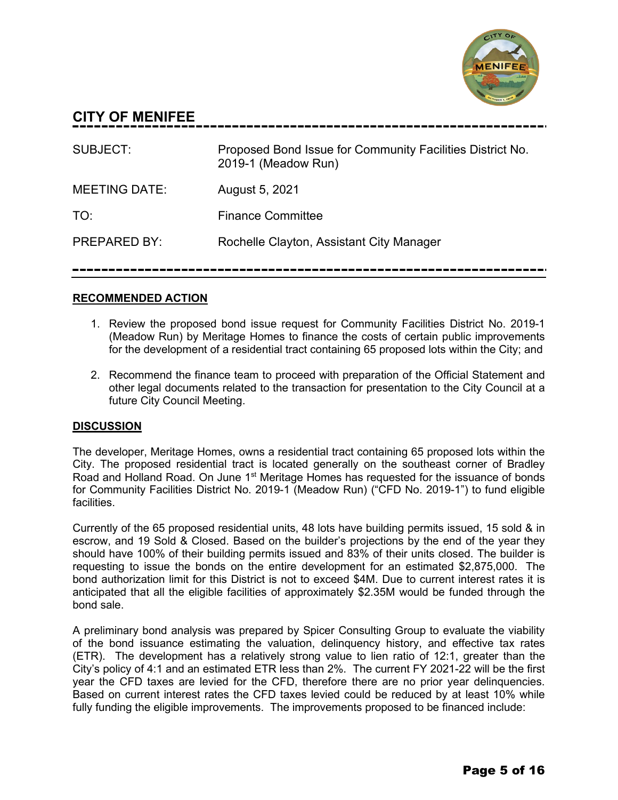

# **CITY OF MENIFEE**

| SUBJECT:             | Proposed Bond Issue for Community Facilities District No.<br>2019-1 (Meadow Run) |
|----------------------|----------------------------------------------------------------------------------|
| <b>MEETING DATE:</b> | August 5, 2021                                                                   |
| TO:                  | <b>Finance Committee</b>                                                         |
| <b>PREPARED BY:</b>  | Rochelle Clayton, Assistant City Manager                                         |

# **RECOMMENDED ACTION**

- 1. Review the proposed bond issue request for Community Facilities District No. 2019-1 (Meadow Run) by Meritage Homes to finance the costs of certain public improvements for the development of a residential tract containing 65 proposed lots within the City; and
- 2. Recommend the finance team to proceed with preparation of the Official Statement and other legal documents related to the transaction for presentation to the City Council at a future City Council Meeting.

# **DISCUSSION**

The developer, Meritage Homes, owns a residential tract containing 65 proposed lots within the City. The proposed residential tract is located generally on the southeast corner of Bradley Road and Holland Road. On June 1<sup>st</sup> Meritage Homes has requested for the issuance of bonds for Community Facilities District No. 2019-1 (Meadow Run) ("CFD No. 2019-1") to fund eligible facilities.

Currently of the 65 proposed residential units, 48 lots have building permits issued, 15 sold & in escrow, and 19 Sold & Closed. Based on the builder's projections by the end of the year they should have 100% of their building permits issued and 83% of their units closed. The builder is requesting to issue the bonds on the entire development for an estimated \$2,875,000. The bond authorization limit for this District is not to exceed \$4M. Due to current interest rates it is anticipated that all the eligible facilities of approximately \$2.35M would be funded through the bond sale.

A preliminary bond analysis was prepared by Spicer Consulting Group to evaluate the viability of the bond issuance estimating the valuation, delinquency history, and effective tax rates (ETR). The development has a relatively strong value to lien ratio of 12:1, greater than the City's policy of 4:1 and an estimated ETR less than 2%. The current FY 2021-22 will be the first year the CFD taxes are levied for the CFD, therefore there are no prior year delinquencies. Based on current interest rates the CFD taxes levied could be reduced by at least 10% while fully funding the eligible improvements. The improvements proposed to be financed include: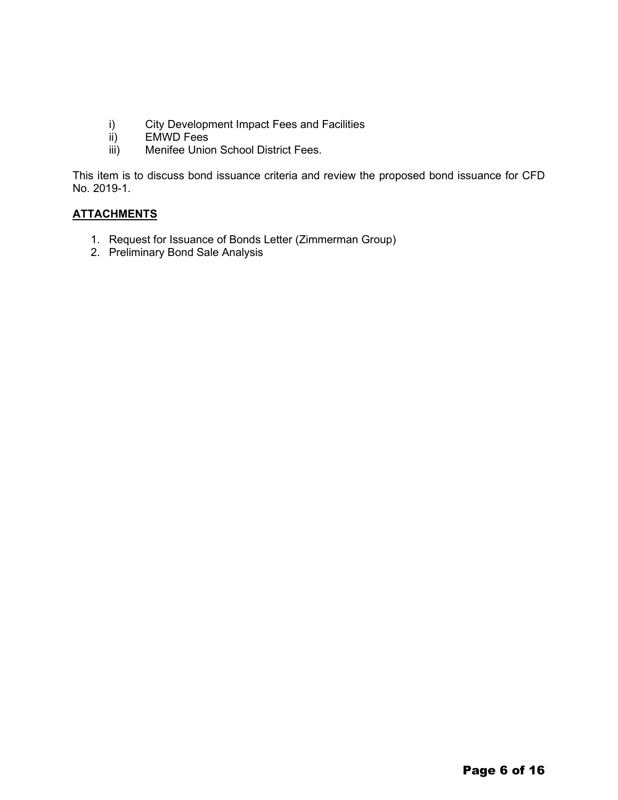- i) City Development Impact Fees and Facilities<br>ii) EMWD Fees
- ii) EMWD Fees<br>iii) Menifee Unior
- Menifee Union School District Fees.

This item is to discuss bond issuance criteria and review the proposed bond issuance for CFD No. 2019-1.

# **ATTACHMENTS**

- 1. Request for Issuance of Bonds Letter (Zimmerman Group)
- 2. Preliminary Bond Sale Analysis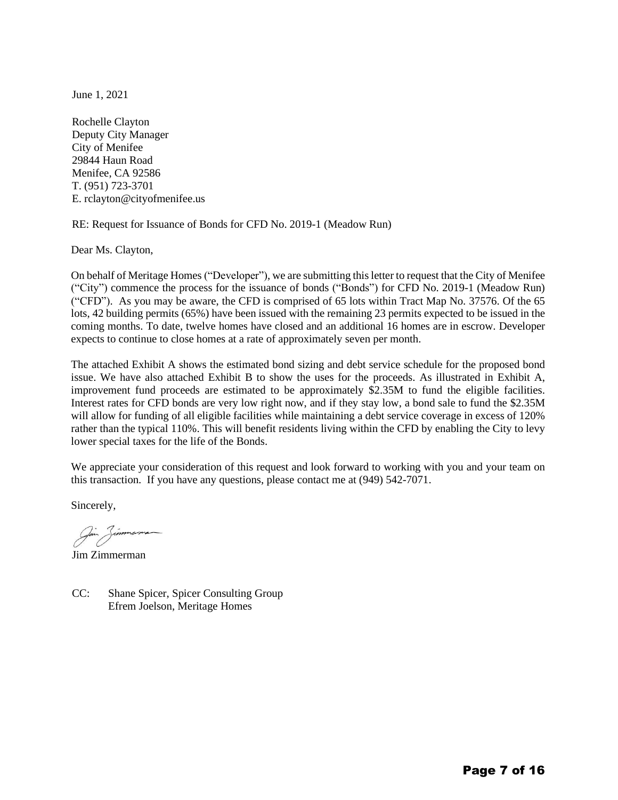June 1, 2021

Rochelle Clayton Deputy City Manager City of Menifee 29844 Haun Road Menifee, CA 92586 T. (951) 723-3701 E. rclayton@cityofmenifee.us

RE: Request for Issuance of Bonds for CFD No. 2019-1 (Meadow Run)

Dear Ms. Clayton,

On behalf of Meritage Homes ("Developer"), we are submitting this letter to request that the City of Menifee ("City") commence the process for the issuance of bonds ("Bonds") for CFD No. 2019-1 (Meadow Run) ("CFD"). As you may be aware, the CFD is comprised of 65 lots within Tract Map No. 37576. Of the 65 lots, 42 building permits (65%) have been issued with the remaining 23 permits expected to be issued in the coming months. To date, twelve homes have closed and an additional 16 homes are in escrow. Developer expects to continue to close homes at a rate of approximately seven per month.

The attached Exhibit A shows the estimated bond sizing and debt service schedule for the proposed bond issue. We have also attached Exhibit B to show the uses for the proceeds. As illustrated in Exhibit A, improvement fund proceeds are estimated to be approximately \$2.35M to fund the eligible facilities. Interest rates for CFD bonds are very low right now, and if they stay low, a bond sale to fund the \$2.35M will allow for funding of all eligible facilities while maintaining a debt service coverage in excess of 120% rather than the typical 110%. This will benefit residents living within the CFD by enabling the City to levy lower special taxes for the life of the Bonds.

We appreciate your consideration of this request and look forward to working with you and your team on this transaction. If you have any questions, please contact me at (949) 542-7071.

Sincerely,

Jim Zimmerman

CC: Shane Spicer, Spicer Consulting Group Efrem Joelson, Meritage Homes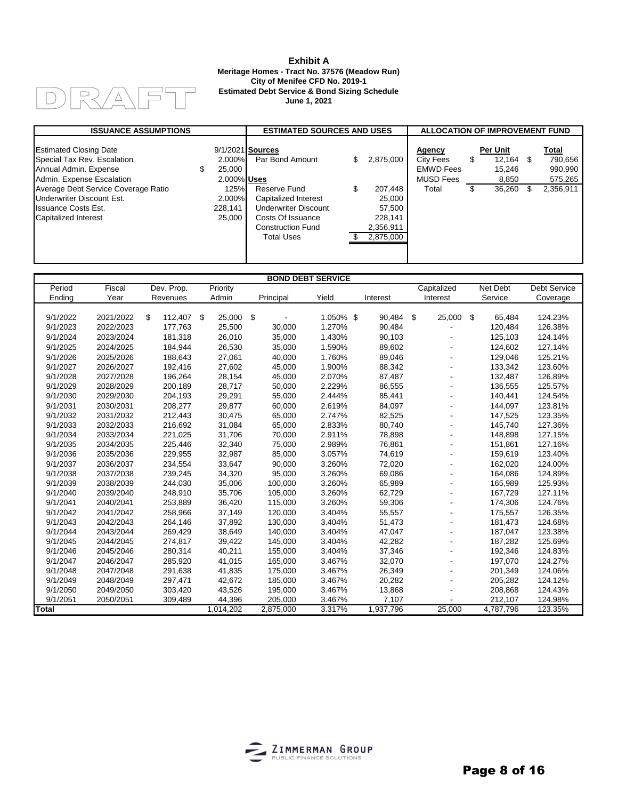#### $R/4$  $\bigcap$ ہا۔<br>ا  $\Box$

### **Exhibit A Meritage Homes - Tract No. 37576 (Meadow Run) City of Menifee CFD No. 2019-1 Estimated Debt Service & Bond Sizing Schedule June 1, 2021**

| <b>ISSUANCE ASSUMPTIONS</b>                                                           |   |                                 | <b>ESTIMATED SOURCES AND USES</b>                                  |    |                                   | <b>ALLOCATION OF IMPROVEMENT FUND</b>                                     |    |                              |    |                             |
|---------------------------------------------------------------------------------------|---|---------------------------------|--------------------------------------------------------------------|----|-----------------------------------|---------------------------------------------------------------------------|----|------------------------------|----|-----------------------------|
| <b>Estimated Closing Date</b><br>Special Tax Rev. Escalation<br>Annual Admin. Expense | S | 2.000%<br>25.000<br>2.000% Uses | 9/1/2021 Sources<br>Par Bond Amount                                | S  | 2,875,000                         | <b>Agency</b><br><b>City Fees</b><br><b>EMWD Fees</b><br><b>MUSD Fees</b> | \$ | Per Unit<br>12.164<br>15.246 | \$ | Total<br>790,656<br>990,990 |
| Admin. Expense Escalation<br>Average Debt Service Coverage Ratio                      |   | 125%                            | Reserve Fund                                                       | \$ | 207.448                           | Total                                                                     | S  | 8,850<br>36.260              |    | 575,265<br>2,356,911        |
| Underwriter Discount Est.                                                             |   | 2.000%                          | Capitalized Interest                                               |    | 25,000                            |                                                                           |    |                              |    |                             |
| <b>Issuance Costs Est.</b>                                                            |   | 228.141                         | Underwriter Discount                                               |    | 57.500                            |                                                                           |    |                              |    |                             |
| Capitalized Interest                                                                  |   | 25.000                          | Costs Of Issuance<br><b>Construction Fund</b><br><b>Total Uses</b> |    | 228,141<br>2,356,911<br>2,875,000 |                                                                           |    |                              |    |                             |
|                                                                                       |   |                                 |                                                                    |    |                                   |                                                                           |    |                              |    |                             |

|              |           |                  |           |           | <b>BOND DEBT SERVICE</b> |           |               |              |                     |
|--------------|-----------|------------------|-----------|-----------|--------------------------|-----------|---------------|--------------|---------------------|
| Period       | Fiscal    | Dev. Prop.       | Priority  |           |                          |           | Capitalized   | Net Debt     | <b>Debt Service</b> |
| Ending       | Year      | Revenues         | Admin     | Principal | Yield                    | Interest  | Interest      | Service      | Coverage            |
|              |           |                  |           |           |                          |           |               |              |                     |
| 9/1/2022     | 2021/2022 | \$<br>112,407 \$ | 25,000    | - \$      | 1.050% \$                | 90.484    | -\$<br>25,000 | \$<br>65,484 | 124.23%             |
| 9/1/2023     | 2022/2023 | 177,763          | 25,500    | 30,000    | 1.270%                   | 90,484    |               | 120,484      | 126.38%             |
| 9/1/2024     | 2023/2024 | 181,318          | 26,010    | 35,000    | 1.430%                   | 90,103    |               | 125,103      | 124.14%             |
| 9/1/2025     | 2024/2025 | 184,944          | 26,530    | 35,000    | 1.590%                   | 89,602    |               | 124,602      | 127.14%             |
| 9/1/2026     | 2025/2026 | 188,643          | 27,061    | 40,000    | 1.760%                   | 89,046    |               | 129,046      | 125.21%             |
| 9/1/2027     | 2026/2027 | 192,416          | 27,602    | 45,000    | 1.900%                   | 88,342    |               | 133,342      | 123.60%             |
| 9/1/2028     | 2027/2028 | 196,264          | 28,154    | 45,000    | 2.070%                   | 87,487    |               | 132,487      | 126.89%             |
| 9/1/2029     | 2028/2029 | 200,189          | 28,717    | 50,000    | 2.229%                   | 86,555    |               | 136,555      | 125.57%             |
| 9/1/2030     | 2029/2030 | 204,193          | 29,291    | 55,000    | 2.444%                   | 85,441    |               | 140,441      | 124.54%             |
| 9/1/2031     | 2030/2031 | 208,277          | 29,877    | 60,000    | 2.619%                   | 84,097    |               | 144,097      | 123.81%             |
| 9/1/2032     | 2031/2032 | 212,443          | 30,475    | 65,000    | 2.747%                   | 82,525    |               | 147,525      | 123.35%             |
| 9/1/2033     | 2032/2033 | 216,692          | 31,084    | 65,000    | 2.833%                   | 80,740    |               | 145,740      | 127.36%             |
| 9/1/2034     | 2033/2034 | 221,025          | 31,706    | 70,000    | 2.911%                   | 78,898    |               | 148,898      | 127.15%             |
| 9/1/2035     | 2034/2035 | 225,446          | 32,340    | 75,000    | 2.989%                   | 76,861    |               | 151,861      | 127.16%             |
| 9/1/2036     | 2035/2036 | 229,955          | 32,987    | 85,000    | 3.057%                   | 74,619    |               | 159,619      | 123.40%             |
| 9/1/2037     | 2036/2037 | 234,554          | 33,647    | 90,000    | 3.260%                   | 72,020    |               | 162,020      | 124.00%             |
| 9/1/2038     | 2037/2038 | 239,245          | 34,320    | 95,000    | 3.260%                   | 69,086    |               | 164,086      | 124.89%             |
| 9/1/2039     | 2038/2039 | 244,030          | 35,006    | 100,000   | 3.260%                   | 65,989    |               | 165,989      | 125.93%             |
| 9/1/2040     | 2039/2040 | 248,910          | 35,706    | 105,000   | 3.260%                   | 62,729    |               | 167,729      | 127.11%             |
| 9/1/2041     | 2040/2041 | 253,889          | 36,420    | 115,000   | 3.260%                   | 59,306    |               | 174,306      | 124.76%             |
| 9/1/2042     | 2041/2042 | 258,966          | 37,149    | 120,000   | 3.404%                   | 55,557    |               | 175,557      | 126.35%             |
| 9/1/2043     | 2042/2043 | 264,146          | 37,892    | 130,000   | 3.404%                   | 51,473    |               | 181,473      | 124.68%             |
| 9/1/2044     | 2043/2044 | 269,429          | 38,649    | 140,000   | 3.404%                   | 47,047    |               | 187,047      | 123.38%             |
| 9/1/2045     | 2044/2045 | 274,817          | 39,422    | 145,000   | 3.404%                   | 42,282    |               | 187,282      | 125.69%             |
| 9/1/2046     | 2045/2046 | 280,314          | 40,211    | 155,000   | 3.404%                   | 37,346    |               | 192,346      | 124.83%             |
| 9/1/2047     | 2046/2047 | 285,920          | 41,015    | 165,000   | 3.467%                   | 32,070    |               | 197,070      | 124.27%             |
| 9/1/2048     | 2047/2048 | 291,638          | 41,835    | 175,000   | 3.467%                   | 26,349    |               | 201,349      | 124.06%             |
| 9/1/2049     | 2048/2049 | 297,471          | 42,672    | 185,000   | 3.467%                   | 20,282    |               | 205,282      | 124.12%             |
| 9/1/2050     | 2049/2050 | 303,420          | 43,526    | 195,000   | 3.467%                   | 13,868    |               | 208,868      | 124.43%             |
| 9/1/2051     | 2050/2051 | 309,489          | 44,396    | 205,000   | 3.467%                   | 7,107     |               | 212,107      | 124.98%             |
| <b>Total</b> |           |                  | 1,014,202 | 2,875,000 | 3.317%                   | 1,937,796 | 25,000        | 4,787,796    | 123.35%             |

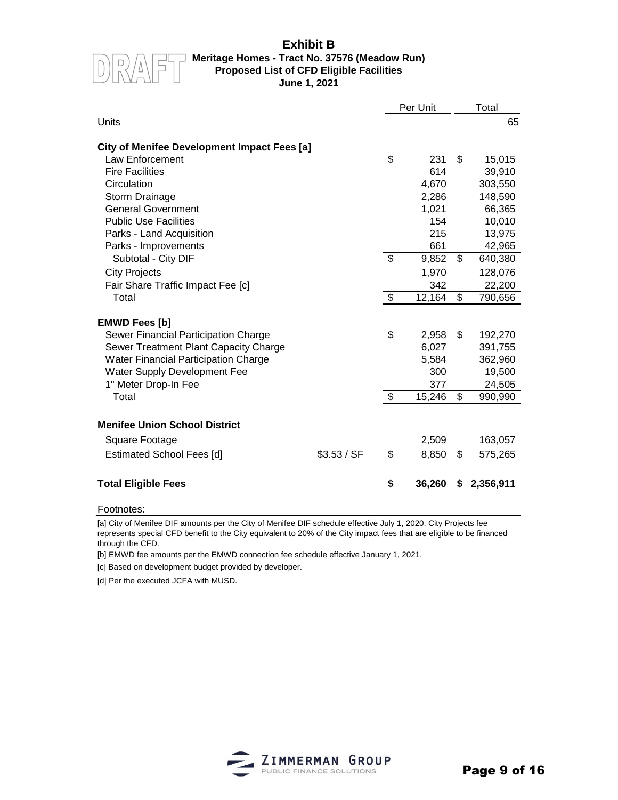# **Exhibit B**



## **Meritage Homes - Tract No. 37576 (Meadow Run) Proposed List of CFD Eligible Facilities June 1, 2021**

|                                             |             | Per Unit                 |        |                 | Total     |  |  |
|---------------------------------------------|-------------|--------------------------|--------|-----------------|-----------|--|--|
| Units                                       |             |                          |        |                 | 65        |  |  |
| City of Menifee Development Impact Fees [a] |             |                          |        |                 |           |  |  |
| Law Enforcement                             |             | \$                       | 231    | \$              | 15,015    |  |  |
| <b>Fire Facilities</b>                      |             |                          | 614    |                 | 39,910    |  |  |
| Circulation                                 |             |                          | 4,670  |                 | 303,550   |  |  |
| Storm Drainage                              |             |                          | 2,286  |                 | 148,590   |  |  |
| <b>General Government</b>                   |             |                          | 1,021  |                 | 66,365    |  |  |
| <b>Public Use Facilities</b>                |             |                          | 154    |                 | 10,010    |  |  |
| Parks - Land Acquisition                    |             |                          | 215    |                 | 13,975    |  |  |
| Parks - Improvements                        |             |                          | 661    |                 | 42,965    |  |  |
| Subtotal - City DIF                         |             | $\overline{\mathcal{S}}$ | 9,852  | \$              | 640,380   |  |  |
| <b>City Projects</b>                        |             |                          | 1,970  |                 | 128,076   |  |  |
| Fair Share Traffic Impact Fee [c]           |             |                          | 342    |                 | 22,200    |  |  |
| Total                                       |             | $\overline{\mathcal{S}}$ | 12,164 | $\overline{\$}$ | 790,656   |  |  |
|                                             |             |                          |        |                 |           |  |  |
| <b>EMWD Fees [b]</b>                        |             |                          |        |                 |           |  |  |
| Sewer Financial Participation Charge        |             | \$                       | 2,958  | \$              | 192,270   |  |  |
| Sewer Treatment Plant Capacity Charge       |             |                          | 6,027  |                 | 391,755   |  |  |
| <b>Water Financial Participation Charge</b> |             |                          | 5,584  |                 | 362,960   |  |  |
| Water Supply Development Fee                |             |                          | 300    |                 | 19,500    |  |  |
| 1" Meter Drop-In Fee                        |             |                          | 377    |                 | 24,505    |  |  |
| Total                                       |             | \$                       | 15,246 | \$              | 990,990   |  |  |
|                                             |             |                          |        |                 |           |  |  |
| <b>Menifee Union School District</b>        |             |                          |        |                 |           |  |  |
| Square Footage                              |             |                          | 2,509  |                 | 163,057   |  |  |
| <b>Estimated School Fees [d]</b>            | \$3.53 / SF | \$                       | 8,850  | \$              | 575,265   |  |  |
|                                             |             |                          |        |                 |           |  |  |
| <b>Total Eligible Fees</b>                  |             | \$                       | 36,260 | S               | 2,356,911 |  |  |

### Footnotes:

[a] City of Menifee DIF amounts per the City of Menifee DIF schedule effective July 1, 2020. City Projects fee represents special CFD benefit to the City equivalent to 20% of the City impact fees that are eligible to be financed through the CFD.

[b] EMWD fee amounts per the EMWD connection fee schedule effective January 1, 2021.

[c] Based on development budget provided by developer.

[d] Per the executed JCFA with MUSD.

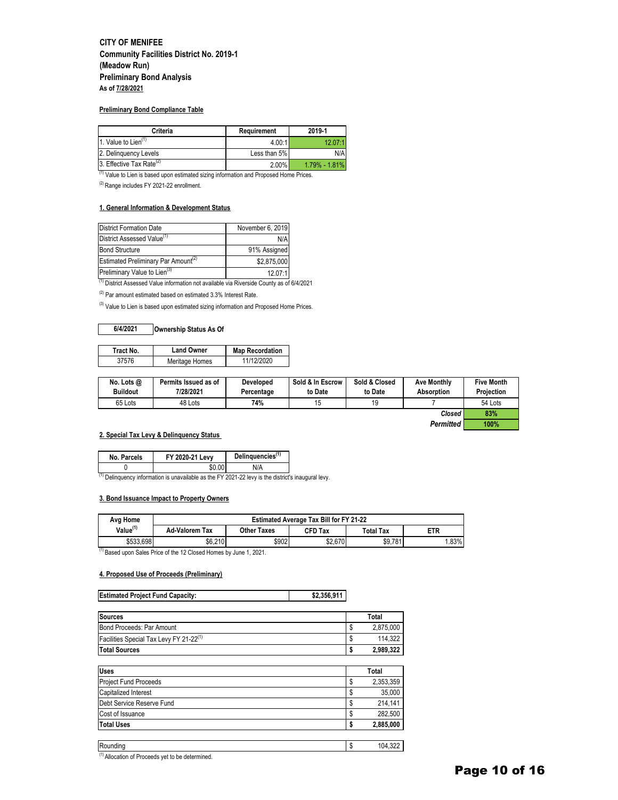## **CITY OF MENIFEE Community Facilities District No. 2019-1 (Meadow Run) Preliminary Bond Analysis As of 7/28/2021**

#### **Preliminary Bond Compliance Table**

| Criteria                             | Requirement  | 2019-1            |
|--------------------------------------|--------------|-------------------|
| 1. Value to Lien $(1)$               | 4.00:1       | 12.07:1           |
| 2. Delinguency Levels                | Less than 5% | N/A               |
| 3. Effective Tax Rate <sup>(2)</sup> | $2.00\%$     | $1.79\% - 1.81\%$ |

(1) Value to Lien is based upon estimated sizing information and Proposed Home Prices.

(2) Range includes FY 2021-22 enrollment.

### **1. General Information & Development Status**

| <b>District Formation Date</b>                       | November 6, 2019 |
|------------------------------------------------------|------------------|
| District Assessed Value <sup>(1)</sup>               | N/A              |
| <b>Bond Structure</b>                                | 91% Assigned     |
| Estimated Preliminary Par Amount <sup>(2)</sup>      | \$2,875,000      |
| Preliminary Value to Lien <sup>(3)</sup><br>$\cdots$ | 12.07:1          |

(1) District Assessed Value information not available via Riverside County as of 6/4/2021

 $(2)$  Par amount estimated based on estimated 3.3% Interest Rate.

(3) Value to Lien is based upon estimated sizing information and Proposed Home Prices.

### **6/4/2021 Ownership Status As Of**

| Tract No. | <b>Land Owner</b> | <b>Map Recordation</b> |
|-----------|-------------------|------------------------|
| 37576     | Meritage Homes    | 11/12/2020             |

| No. Lots $@$<br><b>Buildout</b> | Permits Issued as of<br>7/28/2021 | <b>Developed</b><br>Percentage | Sold & In Escrow<br>to Date | Sold & Closed<br>to Date | <b>Ave Monthly</b><br>Absorption | Five Month<br><b>Projection</b> |
|---------------------------------|-----------------------------------|--------------------------------|-----------------------------|--------------------------|----------------------------------|---------------------------------|
| 65 Lots                         | 48 Lots                           | 74%                            |                             |                          |                                  | 54 Lots                         |
|                                 |                                   |                                |                             |                          | Closed                           | 83%                             |

*Permitted* **100%**

### **2. Special Tax Levy & Delinquency Status**

| No. Parcels | FY 2020-21 Levv | Delinquencies <sup>(1)</sup> |
|-------------|-----------------|------------------------------|
| .           |                 | N/A                          |

 $(1)$  Delinquency information is unavailable as the FY 2021-22 levy is the district's inaugural levy.

### **3. Bond Issuance Impact to Property Owners**

| Avg Home             | <b>Estimated Average Tax Bill for FY 21-22</b> |                    |         |           |            |  |  |
|----------------------|------------------------------------------------|--------------------|---------|-----------|------------|--|--|
| Value <sup>(1)</sup> | <b>Ad-Valorem Tax</b>                          | <b>Other Taxes</b> | CFD Tax | Total Tax | <b>ETR</b> |  |  |
| \$533,698            | \$6.210                                        | \$902              | \$2,670 | \$9,781   | .83%       |  |  |

(1) Based upon Sales Price of the 12 Closed Homes by June 1, 2021.

### **4. Proposed Use of Proceeds (Preliminary)**

| <b>Estimated Project Fund Capacity:</b> | \$2,356,911 |
|-----------------------------------------|-------------|
|                                         |             |

| <b>Sources</b>                                      | Total           |
|-----------------------------------------------------|-----------------|
| Bond Proceeds: Par Amount                           | \$<br>2,875,000 |
| Facilities Special Tax Levy FY 21-22 <sup>(1)</sup> | \$<br>114,322   |
| <b>Total Sources</b>                                | \$<br>2,989,322 |
|                                                     |                 |
| <b>Uses</b>                                         | Total           |
| <b>Project Fund Proceeds</b>                        | \$<br>2,353,359 |
| Capitalized Interest                                | \$<br>35,000    |
| Debt Service Reserve Fund                           | \$<br>214,141   |
| Cost of Issuance                                    | \$<br>282,500   |
| <b>Total Uses</b>                                   | \$<br>2,885,000 |
|                                                     |                 |
| Rounding                                            | \$<br>104.322   |

(1) Allocation of Proceeds yet to be determined.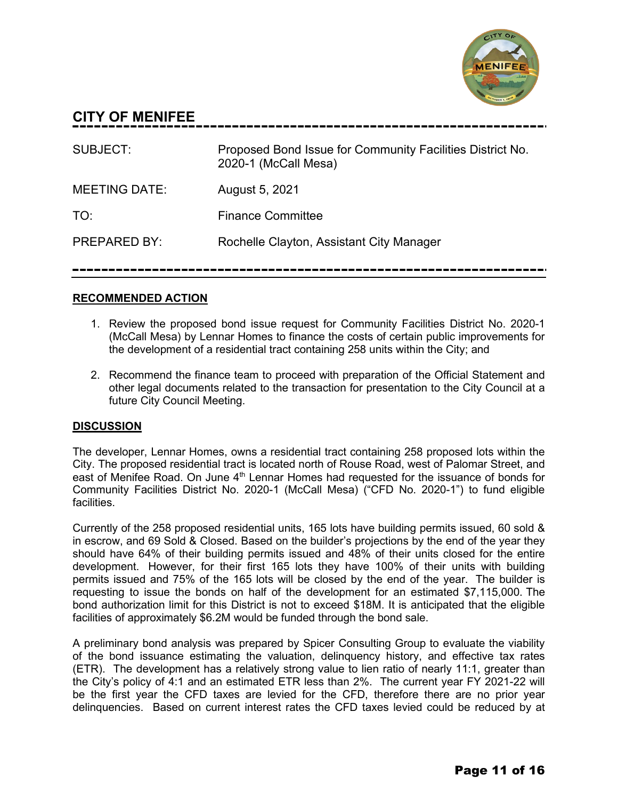

# **CITY OF MENIFEE**

| SUBJECT:             | Proposed Bond Issue for Community Facilities District No.<br>2020-1 (McCall Mesa) |
|----------------------|-----------------------------------------------------------------------------------|
| <b>MEETING DATE:</b> | August 5, 2021                                                                    |
| TO:                  | <b>Finance Committee</b>                                                          |
| <b>PREPARED BY:</b>  | Rochelle Clayton, Assistant City Manager                                          |

# **RECOMMENDED ACTION**

- 1. Review the proposed bond issue request for Community Facilities District No. 2020-1 (McCall Mesa) by Lennar Homes to finance the costs of certain public improvements for the development of a residential tract containing 258 units within the City; and
- 2. Recommend the finance team to proceed with preparation of the Official Statement and other legal documents related to the transaction for presentation to the City Council at a future City Council Meeting.

# **DISCUSSION**

The developer, Lennar Homes, owns a residential tract containing 258 proposed lots within the City. The proposed residential tract is located north of Rouse Road, west of Palomar Street, and east of Menifee Road. On June 4<sup>th</sup> Lennar Homes had requested for the issuance of bonds for Community Facilities District No. 2020-1 (McCall Mesa) ("CFD No. 2020-1") to fund eligible facilities.

Currently of the 258 proposed residential units, 165 lots have building permits issued, 60 sold & in escrow, and 69 Sold & Closed. Based on the builder's projections by the end of the year they should have 64% of their building permits issued and 48% of their units closed for the entire development. However, for their first 165 lots they have 100% of their units with building permits issued and 75% of the 165 lots will be closed by the end of the year. The builder is requesting to issue the bonds on half of the development for an estimated \$7,115,000. The bond authorization limit for this District is not to exceed \$18M. It is anticipated that the eligible facilities of approximately \$6.2M would be funded through the bond sale.

A preliminary bond analysis was prepared by Spicer Consulting Group to evaluate the viability of the bond issuance estimating the valuation, delinquency history, and effective tax rates (ETR). The development has a relatively strong value to lien ratio of nearly 11:1, greater than the City's policy of 4:1 and an estimated ETR less than 2%. The current year FY 2021-22 will be the first year the CFD taxes are levied for the CFD, therefore there are no prior year delinquencies. Based on current interest rates the CFD taxes levied could be reduced by at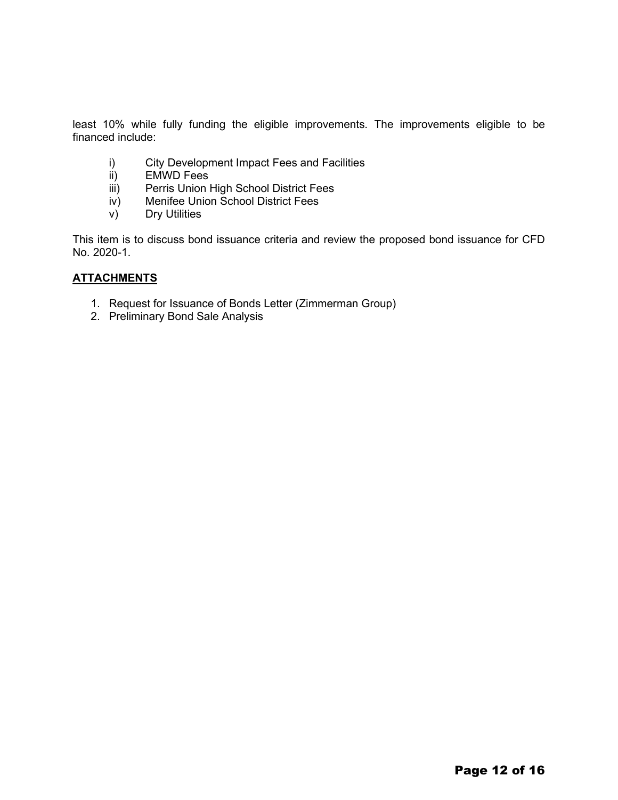least 10% while fully funding the eligible improvements. The improvements eligible to be financed include:

- i) City Development Impact Fees and Facilities<br>ii) EMWD Fees
- **EMWD Fees**
- iii) Perris Union High School District Fees
- iv) Menifee Union School District Fees
- v) Dry Utilities

This item is to discuss bond issuance criteria and review the proposed bond issuance for CFD No. 2020-1.

# **ATTACHMENTS**

- 1. Request for Issuance of Bonds Letter (Zimmerman Group)
- 2. Preliminary Bond Sale Analysis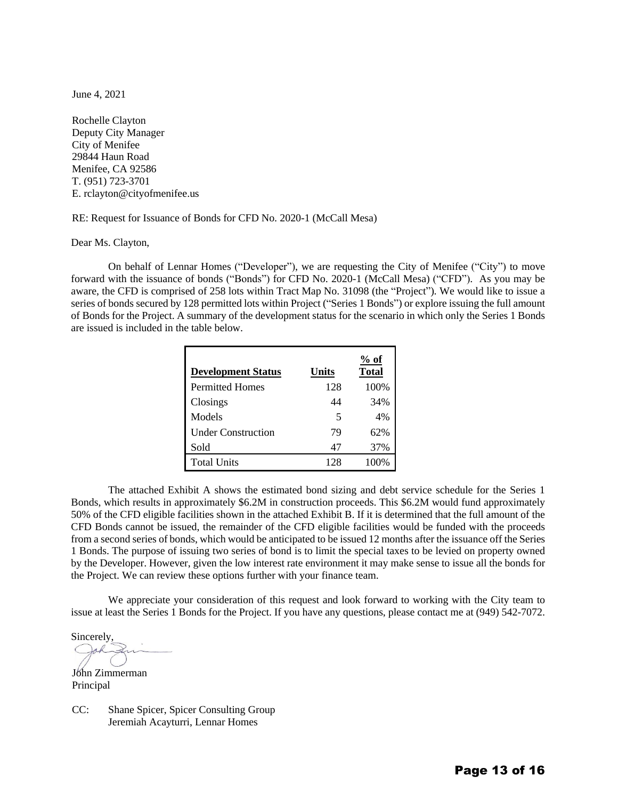June 4, 2021

Rochelle Clayton Deputy City Manager City of Menifee 29844 Haun Road Menifee, CA 92586 T. (951) 723-3701 E. rclayton@cityofmenifee.us

RE: Request for Issuance of Bonds for CFD No. 2020-1 (McCall Mesa)

Dear Ms. Clayton,

On behalf of Lennar Homes ("Developer"), we are requesting the City of Menifee ("City") to move forward with the issuance of bonds ("Bonds") for CFD No. 2020-1 (McCall Mesa) ("CFD"). As you may be aware, the CFD is comprised of 258 lots within Tract Map No. 31098 (the "Project"). We would like to issue a series of bonds secured by 128 permitted lots within Project ("Series 1 Bonds") or explore issuing the full amount of Bonds for the Project. A summary of the development status for the scenario in which only the Series 1 Bonds are issued is included in the table below.

| <b>Development Status</b> | Units | $%$ of<br>Total |
|---------------------------|-------|-----------------|
| <b>Permitted Homes</b>    | 128   | 100%            |
| Closings                  | 44    | 34%             |
| Models                    | 5     | 4%              |
| <b>Under Construction</b> | 79    | 62%             |
| Sold                      | 47    | 37%             |
| <b>Total Units</b>        | 128   |                 |

The attached Exhibit A shows the estimated bond sizing and debt service schedule for the Series 1 Bonds, which results in approximately \$6.2M in construction proceeds. This \$6.2M would fund approximately 50% of the CFD eligible facilities shown in the attached Exhibit B. If it is determined that the full amount of the CFD Bonds cannot be issued, the remainder of the CFD eligible facilities would be funded with the proceeds from a second series of bonds, which would be anticipated to be issued 12 months after the issuance off the Series 1 Bonds. The purpose of issuing two series of bond is to limit the special taxes to be levied on property owned by the Developer. However, given the low interest rate environment it may make sense to issue all the bonds for the Project. We can review these options further with your finance team.

We appreciate your consideration of this request and look forward to working with the City team to issue at least the Series 1 Bonds for the Project. If you have any questions, please contact me at (949) 542-7072.

Sincerely, Joh:

John Zimmerman Principal

CC: Shane Spicer, Spicer Consulting Group Jeremiah Acayturri, Lennar Homes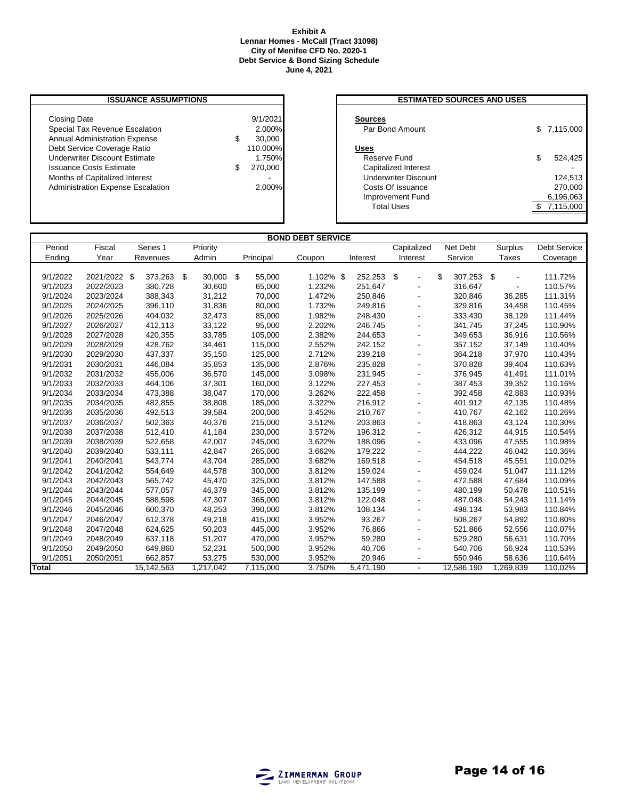### **Exhibit A Lennar Homes - McCall (Tract 31098) City of Menifee CFD No. 2020-1 Debt Service & Bond Sizing Schedule June 4, 2021**

## **ISSUANCE ASSUMPTIONS**

| <b>Closing Date</b>                      | 9/1/2021  | <b>Sources</b>              |             |
|------------------------------------------|-----------|-----------------------------|-------------|
| Special Tax Revenue Escalation           | $2.000\%$ | Par Bond Amount             | \$7,115,000 |
| <b>Annual Administration Expense</b>     | 30,000    |                             |             |
| Debt Service Coverage Ratio              | 110.000%  | Uses                        |             |
| <b>Underwriter Discount Estimate</b>     | 1.750%I   | Reserve Fund                | 524.425     |
| <b>Issuance Costs Estimate</b>           | 270,000   | Capitalized Interest        |             |
| Months of Capitalized Interest           |           | <b>Underwriter Discount</b> | 124.513     |
| <b>Administration Expense Escalation</b> | 2.000%    | Costs Of Issuance           | 270,000     |
|                                          |           | Improvement Fund            | 6,196,063   |
|                                          |           |                             | - -         |

| <b>ESTIMATED SOURCES AND USES</b>                                                                |                                     |
|--------------------------------------------------------------------------------------------------|-------------------------------------|
| <b>Sources</b><br>Par Bond Amount                                                                | \$7,115,000                         |
| Uses<br>Reserve Fund<br>Capitalized Interest<br><b>Underwriter Discount</b><br>Costs Of Issuance | \$<br>524.425<br>124,513<br>270,000 |
| Improvement Fund                                                                                 | 6,196,063                           |
| <b>Total Uses</b>                                                                                | 7.115.000                           |
|                                                                                                  |                                     |

| <b>BOND DEBT SERVICE</b> |              |            |           |           |           |                        |                          |                  |           |              |
|--------------------------|--------------|------------|-----------|-----------|-----------|------------------------|--------------------------|------------------|-----------|--------------|
| Period                   | Fiscal       | Series 1   | Priority  |           |           |                        | Capitalized              | Net Debt         | Surplus   | Debt Service |
| Ending                   | Year         | Revenues   | Admin     | Principal | Coupon    | Interest               | Interest                 | Service          | Taxes     | Coverage     |
|                          |              |            |           |           |           |                        |                          |                  |           |              |
| 9/1/2022                 | 2021/2022 \$ | 373,263 \$ | 30,000 \$ | 55,000    | 1.102% \$ | 252,253                | - \$<br>$\blacksquare$   | \$<br>307,253 \$ |           | 111.72%      |
| 9/1/2023                 | 2022/2023    | 380,728    | 30,600    | 65,000    | 1.232%    | 251,647                | $\overline{\phantom{a}}$ | 316,647          |           | 110.57%      |
| 9/1/2024                 | 2023/2024    | 388,343    | 31,212    | 70.000    | 1.472%    | 250.846                | $\blacksquare$           | 320.846          | 36,285    | 111.31%      |
| 9/1/2025                 | 2024/2025    | 396,110    | 31,836    | 80,000    | 1.732%    | 249,816                |                          | 329,816          | 34,458    | 110.45%      |
| 9/1/2026                 | 2025/2026    | 404,032    | 32,473    | 85,000    | 1.982%    | 248,430                | $\overline{\phantom{a}}$ | 333,430          | 38,129    | 111.44%      |
| 9/1/2027                 | 2026/2027    | 412,113    | 33,122    | 95,000    | 2.202%    | 246,745                | $\overline{\phantom{a}}$ | 341,745          | 37,245    | 110.90%      |
| 9/1/2028                 | 2027/2028    | 420,355    | 33,785    | 105,000   | 2.382%    | 244,653                | $\blacksquare$           | 349,653          | 36,916    | 110.56%      |
| 9/1/2029                 | 2028/2029    | 428,762    | 34,461    | 115,000   | 2.552%    | 242,152                | $\overline{\phantom{a}}$ | 357,152          | 37,149    | 110.40%      |
| 9/1/2030                 | 2029/2030    | 437,337    | 35,150    | 125,000   | 2.712%    | 239,218                | $\blacksquare$           | 364,218          | 37,970    | 110.43%      |
| 9/1/2031                 | 2030/2031    | 446,084    | 35,853    | 135,000   | 2.876%    | 235,828                | $\overline{\phantom{a}}$ | 370,828          | 39,404    | 110.63%      |
| 9/1/2032                 | 2031/2032    | 455,006    | 36,570    | 145,000   | 3.098%    | 231,945                |                          | 376,945          | 41,491    | 111.01%      |
| 9/1/2033                 | 2032/2033    | 464,106    | 37,301    | 160,000   | 3.122%    | 227,453                | $\overline{\phantom{a}}$ | 387,453          | 39,352    | 110.16%      |
| 9/1/2034                 | 2033/2034    | 473,388    | 38,047    | 170.000   | 3.262%    | 222.458                | $\overline{\phantom{a}}$ | 392.458          | 42,883    | 110.93%      |
| 9/1/2035                 | 2034/2035    | 482,855    | 38,808    | 185,000   | 3.322%    | 216,912                | $\overline{\phantom{a}}$ | 401,912          | 42,135    | 110.48%      |
| 9/1/2036                 | 2035/2036    | 492,513    | 39,584    | 200,000   | 3.452%    | 210,767                | $\overline{\phantom{a}}$ | 410,767          | 42,162    | 110.26%      |
| 9/1/2037                 | 2036/2037    | 502,363    | 40,376    | 215,000   | 3.512%    | 203,863                | $\overline{\phantom{a}}$ | 418,863          | 43,124    | 110.30%      |
| 9/1/2038                 | 2037/2038    | 512,410    | 41,184    | 230,000   | 3.572%    | 196,312                | $\overline{\phantom{a}}$ | 426,312          | 44,915    | 110.54%      |
| 9/1/2039                 | 2038/2039    | 522,658    | 42,007    | 245,000   | 3.622%    | 188,096                | $\blacksquare$           | 433,096          | 47,555    | 110.98%      |
| 9/1/2040                 | 2039/2040    | 533,111    | 42,847    | 265,000   | 3.662%    | 179,222                | $\blacksquare$           | 444,222          | 46,042    | 110.36%      |
| 9/1/2041                 | 2040/2041    | 543,774    | 43,704    | 285,000   | 3.682%    | 169,518                | $\blacksquare$           | 454,518          | 45,551    | 110.02%      |
| 9/1/2042                 | 2041/2042    | 554,649    | 44,578    | 300,000   | 3.812%    | 159,024                | $\overline{\phantom{a}}$ | 459,024          | 51,047    | 111.12%      |
| 9/1/2043                 | 2042/2043    | 565,742    | 45,470    | 325,000   | 3.812%    | 147,588                | $\overline{\phantom{a}}$ | 472,588          | 47,684    | 110.09%      |
| 9/1/2044                 | 2043/2044    | 577,057    | 46,379    | 345,000   | 3.812%    | 135,199                | $\blacksquare$           | 480,199          | 50,478    | 110.51%      |
| 9/1/2045                 | 2044/2045    | 588,598    | 47,307    | 365,000   | 3.812%    | 122,048                | $\blacksquare$           | 487,048          | 54,243    | 111.14%      |
| 9/1/2046                 | 2045/2046    | 600,370    | 48,253    | 390,000   | 3.812%    | 108,134                | $\blacksquare$           | 498,134          | 53,983    | 110.84%      |
| 9/1/2047                 | 2046/2047    | 612,378    | 49,218    | 415,000   | 3.952%    | 93,267                 | $\blacksquare$           | 508,267          | 54,892    | 110.80%      |
| 9/1/2048                 | 2047/2048    | 624,625    | 50,203    | 445,000   | 3.952%    | 76,866                 |                          | 521,866          | 52,556    | 110.07%      |
| 9/1/2049                 | 2048/2049    | 637,118    | 51,207    | 470,000   | 3.952%    | 59,280                 |                          | 529,280          | 56,631    | 110.70%      |
| 9/1/2050                 | 2049/2050    | 649,860    | 52,231    | 500,000   | 3.952%    | 40.706                 | $\overline{\phantom{a}}$ | 540,706          | 56,924    | 110.53%      |
| 9/1/2051                 | 2050/2051    | 662,857    | 53,275    | 530,000   | 3.952%    | 20,946                 | $\overline{\phantom{a}}$ | 550,946          | 58,636    | 110.64%      |
| Total                    |              | 15,142,563 | 1,217,042 | 7,115,000 | 3.750%    | $\overline{5,}471,190$ | $\blacksquare$           | 12,586,190       | 1,269,839 | 110.02%      |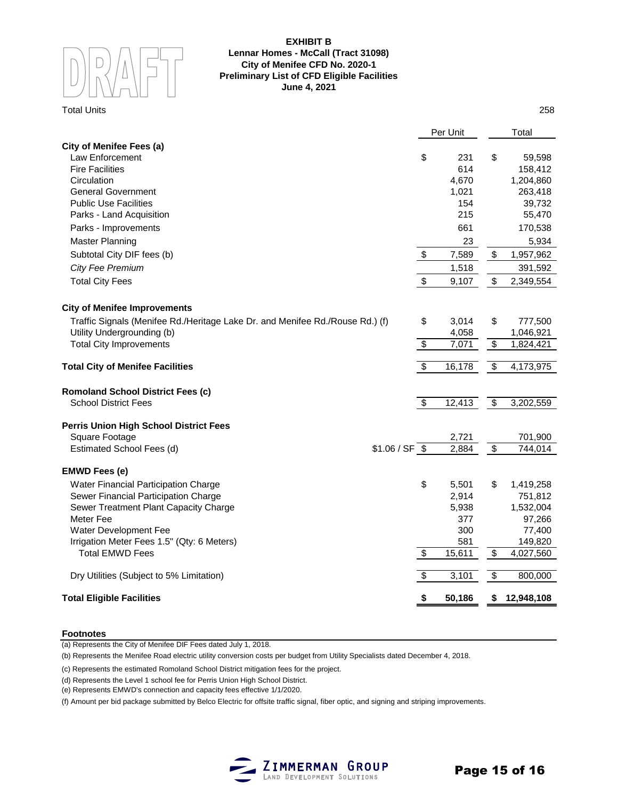

### **EXHIBIT B Lennar Homes - McCall (Tract 31098) City of Menifee CFD No. 2020-1 Preliminary List of CFD Eligible Facilities June 4, 2021**

### Total Units 258

|                                                                               |                                  | Per Unit |                          | Total      |
|-------------------------------------------------------------------------------|----------------------------------|----------|--------------------------|------------|
| <b>City of Menifee Fees (a)</b>                                               |                                  |          |                          |            |
| Law Enforcement                                                               | \$                               | 231      | \$                       | 59,598     |
| <b>Fire Facilities</b>                                                        |                                  | 614      |                          | 158,412    |
| Circulation                                                                   |                                  | 4,670    |                          | 1,204,860  |
| <b>General Government</b>                                                     |                                  | 1,021    |                          | 263,418    |
| <b>Public Use Facilities</b>                                                  |                                  | 154      |                          | 39,732     |
| Parks - Land Acquisition                                                      |                                  | 215      |                          | 55,470     |
| Parks - Improvements                                                          |                                  | 661      |                          | 170,538    |
| <b>Master Planning</b>                                                        |                                  | 23       |                          | 5,934      |
| Subtotal City DIF fees (b)                                                    | \$                               | 7,589    | \$                       | 1,957,962  |
| City Fee Premium                                                              |                                  | 1,518    |                          | 391,592    |
| <b>Total City Fees</b>                                                        | \$                               | 9,107    | \$                       | 2,349,554  |
| <b>City of Menifee Improvements</b>                                           |                                  |          |                          |            |
| Traffic Signals (Menifee Rd./Heritage Lake Dr. and Menifee Rd./Rouse Rd.) (f) | \$                               | 3,014    | \$                       | 777,500    |
| Utility Undergrounding (b)                                                    |                                  | 4,058    |                          | 1,046,921  |
| <b>Total City Improvements</b>                                                | $\overline{\boldsymbol{\theta}}$ | 7,071    | \$                       | 1,824,421  |
|                                                                               |                                  |          |                          |            |
| <b>Total City of Menifee Facilities</b>                                       | $\overline{\mathbf{S}}$          | 16,178   | $\overline{\mathbf{S}}$  | 4,173,975  |
| <b>Romoland School District Fees (c)</b>                                      |                                  |          |                          |            |
| <b>School District Fees</b>                                                   | $\overline{\mathbf{3}}$          | 12,413   | $\overline{\mathcal{E}}$ | 3,202,559  |
| <b>Perris Union High School District Fees</b>                                 |                                  |          |                          |            |
| Square Footage                                                                |                                  | 2,721    |                          | 701,900    |
| Estimated School Fees (d)                                                     | $$1.06 / SF$ \$                  | 2,884    | $\overline{\$}$          | 744,014    |
| <b>EMWD Fees (e)</b>                                                          |                                  |          |                          |            |
| Water Financial Participation Charge                                          | \$                               | 5,501    | \$                       | 1,419,258  |
| Sewer Financial Participation Charge                                          |                                  | 2,914    |                          | 751,812    |
| Sewer Treatment Plant Capacity Charge                                         |                                  | 5,938    |                          | 1,532,004  |
| Meter Fee                                                                     |                                  | 377      |                          | 97,266     |
| Water Development Fee                                                         |                                  | 300      |                          | 77,400     |
| Irrigation Meter Fees 1.5" (Qty: 6 Meters)                                    |                                  | 581      |                          | 149,820    |
| <b>Total EMWD Fees</b>                                                        | $\overline{\$}$                  | 15,611   | $\overline{\mathcal{E}}$ | 4,027,560  |
| Dry Utilities (Subject to 5% Limitation)                                      | \$                               | 3,101    | \$                       | 800,000    |
| <b>Total Eligible Facilities</b>                                              | \$                               | 50,186   | \$                       | 12,948,108 |
|                                                                               |                                  |          |                          |            |

### **Footnotes**

(a) Represents the City of Menifee DIF Fees dated July 1, 2018.

(b) Represents the Menifee Road electric utility conversion costs per budget from Utility Specialists dated December 4, 2018.

(c) Represents the estimated Romoland School District mitigation fees for the project.

(d) Represents the Level 1 school fee for Perris Union High School District.

(e) Represents EMWD's connection and capacity fees effective 1/1/2020.

(f) Amount per bid package submitted by Belco Electric for offsite traffic signal, fiber optic, and signing and striping improvements.